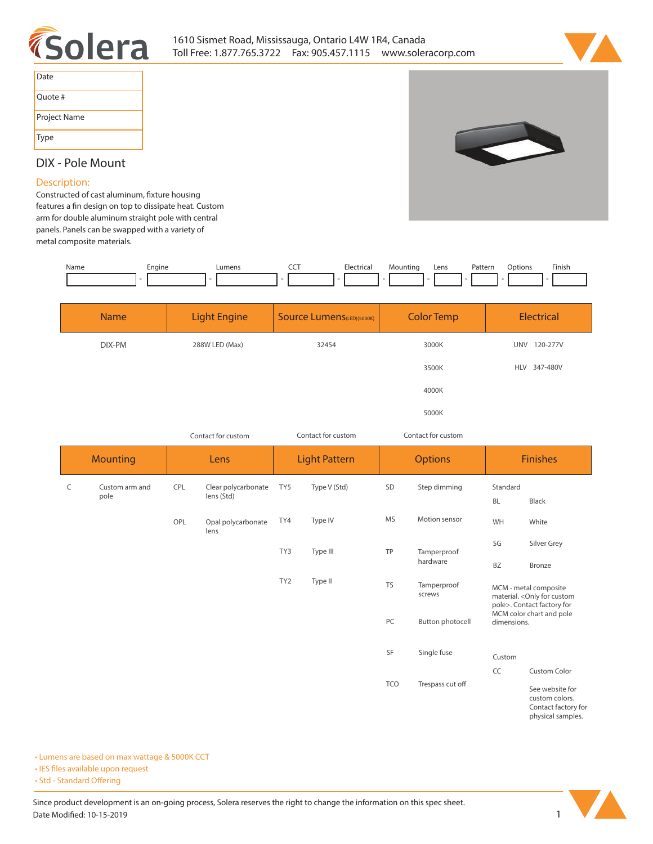



| Date         |
|--------------|
| Quote #      |
| Project Name |
| Type         |

## **DIX - Pole Mount**

## **Description:**

Constructed of cast aluminum, fixture housing features a fin design on top to dissipate heat. Custom **arm for double aluminum straight pole with central panels. Panels can be swapped with a variety of metal composite materials.** 

| Name | Engine | ---<br>___ | $-10o$<br>. | Lens | atterr<br>. | tior.<br>. | Finish<br>the contract of the contract of the |
|------|--------|------------|-------------|------|-------------|------------|-----------------------------------------------|
|      |        |            |             |      |             |            |                                               |

| <b>Name</b> | <b>Light Engine</b> | Source Lumens(LED)(5000K) | <b>Color Temp</b> | Electrical             |
|-------------|---------------------|---------------------------|-------------------|------------------------|
| DIX-PM      | 288W LED (Max)      | 32454                     | 3000K             | <b>UNV</b><br>120-277V |
|             |                     |                           | 3500K             | HLV 347-480V           |
|             |                     |                           | 4000K             |                        |
|             |                     |                           | 5000K             |                        |

| Contact for custom |                        |      | Contact for custom                |                      |              | Contact for custom |                       |                                                                                                                               |                                                          |
|--------------------|------------------------|------|-----------------------------------|----------------------|--------------|--------------------|-----------------------|-------------------------------------------------------------------------------------------------------------------------------|----------------------------------------------------------|
| <b>Mounting</b>    |                        | Lens |                                   | <b>Light Pattern</b> |              | <b>Options</b>     |                       | <b>Finishes</b>                                                                                                               |                                                          |
| C                  | Custom arm and<br>pole | CPL  | Clear polycarbonate<br>lens (Std) | TY5                  | Type V (Std) | SD                 | Step dimming          | Standard<br>BL                                                                                                                | Black                                                    |
|                    |                        | OPL  | Opal polycarbonate<br>lens        | TY4                  | Type IV      | <b>MS</b>          | Motion sensor         | WH                                                                                                                            | White                                                    |
|                    |                        |      |                                   | TY3                  | Type III     | TP                 | Tamperproof           | SG                                                                                                                            | Silver Grey                                              |
|                    |                        |      |                                   |                      |              |                    | hardware              | BZ                                                                                                                            | <b>Bronze</b>                                            |
|                    |                        |      |                                   | TY <sub>2</sub>      | Type II      | <b>TS</b>          | Tamperproof<br>screws | MCM - metal composite<br>material. < Only for custom<br>pole>. Contact factory for<br>MCM color chart and pole<br>dimensions. |                                                          |
|                    |                        |      |                                   |                      |              | PC                 | Button photocell      |                                                                                                                               |                                                          |
|                    |                        |      |                                   |                      |              | SF                 | Single fuse           | Custom                                                                                                                        |                                                          |
|                    |                        |      |                                   |                      |              |                    |                       | CC                                                                                                                            | <b>Custom Color</b>                                      |
|                    |                        |      |                                   |                      |              | TCO                | Trespass cut off      |                                                                                                                               | See website for<br>custom colors.<br>Contact factory for |

**physical samples.** 

**• Lumens are based on max wattage & 5000K CCT**

**• IES files available upon request** 

• Std - Standard Offering